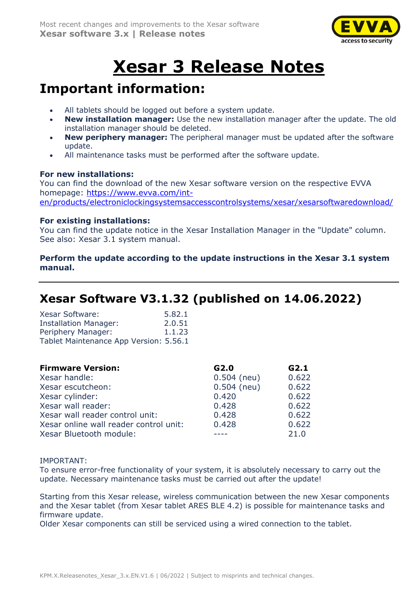

# **Xesar 3 Release Notes**

# **Important information:**

- All tablets should be logged out before a system update.
- **New installation manager:** Use the new installation manager after the update. The old installation manager should be deleted.
- **New periphery manager:** The peripheral manager must be updated after the software update.
- All maintenance tasks must be performed after the software update.

### **For new installations:**

You can find the download of the new Xesar software version on the respective EVVA homepage: [https://www.evva.com/int](https://www.evva.com/int-en/products/electroniclockingsystemsaccesscontrolsystems/xesar/xesarsoftwaredownload/)[en/products/electroniclockingsystemsaccesscontrolsystems/xesar/xesarsoftwaredownload/](https://www.evva.com/int-en/products/electroniclockingsystemsaccesscontrolsystems/xesar/xesarsoftwaredownload/)

### **For existing installations:**

You can find the update notice in the Xesar Installation Manager in the "Update" column. See also: Xesar 3.1 system manual.

### **Perform the update according to the update instructions in the Xesar 3.1 system manual.**

# **Xesar Software V3.1.32 (published on 14.06.2022)**

| <b>Xesar Software:</b>                 | 5.82.1 |
|----------------------------------------|--------|
| <b>Installation Manager:</b>           | 2.0.51 |
| Periphery Manager:                     | 1.1.23 |
| Tablet Maintenance App Version: 5.56.1 |        |

| <b>Firmware Version:</b>               | G2.0          | G2.1  |
|----------------------------------------|---------------|-------|
| Xesar handle:                          | $0.504$ (neu) | 0.622 |
| Xesar escutcheon:                      | $0.504$ (neu) | 0.622 |
| Xesar cylinder:                        | 0.420         | 0.622 |
| Xesar wall reader:                     | 0.428         | 0.622 |
| Xesar wall reader control unit:        | 0.428         | 0.622 |
| Xesar online wall reader control unit: | 0.428         | 0.622 |
| Xesar Bluetooth module:                |               | 21.0  |

### IMPORTANT:

To ensure error-free functionality of your system, it is absolutely necessary to carry out the update. Necessary maintenance tasks must be carried out after the update!

Starting from this Xesar release, wireless communication between the new Xesar components and the Xesar tablet (from Xesar tablet ARES BLE 4.2) is possible for maintenance tasks and firmware update.

Older Xesar components can still be serviced using a wired connection to the tablet.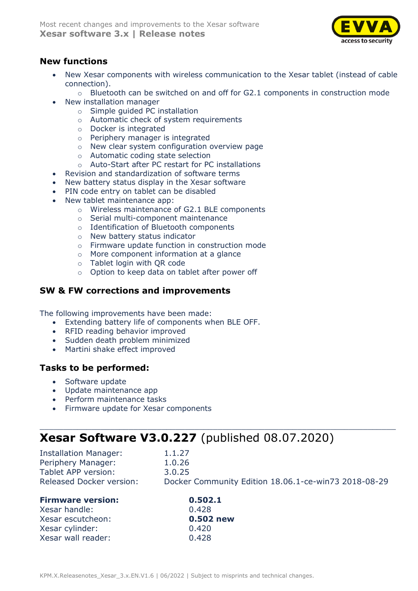

### **New functions**

- New Xesar components with wireless communication to the Xesar tablet (instead of cable connection).
	- o Bluetooth can be switched on and off for G2.1 components in construction mode
- New installation manager
	- o Simple guided PC installation
	- o Automatic check of system requirements
	- o Docker is integrated
	- o Periphery manager is integrated
	- o New clear system configuration overview page
	- o Automatic coding state selection
	- o Auto-Start after PC restart for PC installations
- Revision and standardization of software terms
- New battery status display in the Xesar software
- PIN code entry on tablet can be disabled
- New tablet maintenance app:
	- o Wireless maintenance of G2.1 BLE components
	- o Serial multi-component maintenance
	- o Identification of Bluetooth components
	- o New battery status indicator
	- o Firmware update function in construction mode
	- o More component information at a glance
	- o Tablet login with QR code
	- o Option to keep data on tablet after power off

### **SW & FW corrections and improvements**

The following improvements have been made:

- Extending battery life of components when BLE OFF.
- RFID reading behavior improved
- Sudden death problem minimized
- Martini shake effect improved

### **Tasks to be performed:**

- Software update
- Update maintenance app
- Perform maintenance tasks
- Firmware update for Xesar components

### **Xesar Software V3.0.227** (published 08.07.2020)

| <b>Installation Manager:</b><br>Periphery Manager: | 1.1.27<br>1.0.26                                     |
|----------------------------------------------------|------------------------------------------------------|
| Tablet APP version:                                | 3.0.25                                               |
| <b>Released Docker version:</b>                    | Docker Community Edition 18.06.1-ce-win73 2018-08-29 |

**Firmware version: 0.502.1**  $0.428$ 

0.502 new

 $\_$  , and the set of the set of the set of the set of the set of the set of the set of the set of the set of the set of the set of the set of the set of the set of the set of the set of the set of the set of the set of th

| <u>U.5U.</u> |
|--------------|
| 0.428        |
| 0.502        |
| 0.420        |
| 0.428        |
|              |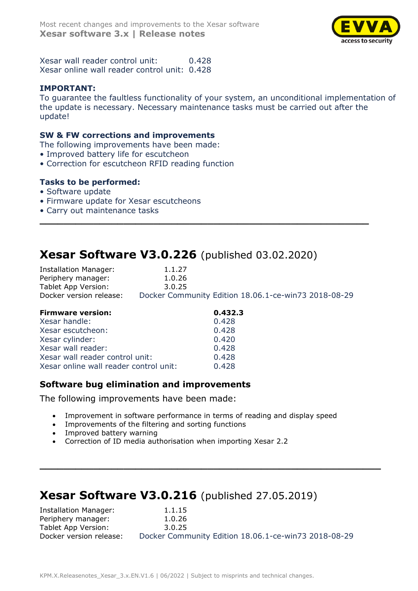

Xesar wall reader control unit: 0.428 Xesar online wall reader control unit: 0.428

### **IMPORTANT:**

To guarantee the faultless functionality of your system, an unconditional implementation of the update is necessary. Necessary maintenance tasks must be carried out after the update!

#### **SW & FW corrections and improvements**

- The following improvements have been made:
- Improved battery life for escutcheon
- Correction for escutcheon RFID reading function

### **Tasks to be performed:**

- Software update
- Firmware update for Xesar escutcheons
- Carry out maintenance tasks

### **Xesar Software V3.0.226** (published 03.02.2020)

| Installation Manager:   | 1.1.27                                               |
|-------------------------|------------------------------------------------------|
| Periphery manager:      | 1.0.26                                               |
| Tablet App Version:     | 3.0.25                                               |
| Docker version release: | Docker Community Edition 18.06.1-ce-win73 2018-08-29 |

**\_\_\_\_\_\_\_\_\_\_\_\_\_\_\_\_\_\_\_\_\_\_\_\_\_\_\_\_\_\_\_\_\_\_\_\_\_\_\_\_\_\_\_\_\_\_\_\_\_\_\_\_\_\_\_**

| <b>Firmware version:</b>               | 0.432.3 |
|----------------------------------------|---------|
| Xesar handle:                          | 0.428   |
| Xesar escutcheon:                      | 0.428   |
| Xesar cylinder:                        | 0.420   |
| Xesar wall reader:                     | 0.428   |
| Xesar wall reader control unit:        | 0.428   |
| Xesar online wall reader control unit: | 0.428   |

### **Software bug elimination and improvements**

The following improvements have been made:

- Improvement in software performance in terms of reading and display speed
- Improvements of the filtering and sorting functions
- Improved battery warning
- Correction of ID media authorisation when importing Xesar 2.2

### **Xesar Software V3.0.216** (published 27.05.2019)

| Installation Manager:   | 1.1.15                                               |
|-------------------------|------------------------------------------------------|
| Periphery manager:      | 1.0.26                                               |
| Tablet App Version:     | 3.0.25                                               |
| Docker version release: | Docker Community Edition 18.06.1-ce-win73 2018-08-29 |

**\_\_\_\_\_\_\_\_\_\_\_\_\_\_\_\_\_\_\_\_\_\_\_\_\_\_\_\_\_\_\_\_\_\_\_\_\_\_\_\_\_\_\_\_\_\_\_\_\_\_\_\_\_\_\_\_\_**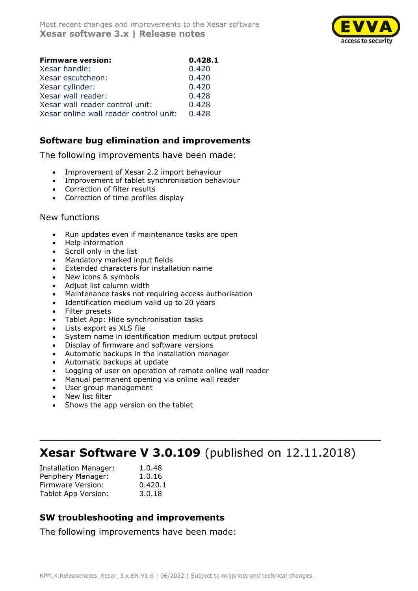

| <b>Firmware version:</b>               | 0.428.1 |
|----------------------------------------|---------|
| Xesar handle:                          | 0.420   |
| Xesar escutcheon:                      | 0.420   |
| Xesar cylinder:                        | 0.420   |
| Xesar wall reader:                     | 0.428   |
| Xesar wall reader control unit:        | 0.428   |
| Xesar online wall reader control unit: | 0.428   |

### **Software bug elimination and improvements**

The following improvements have been made:

- Improvement of Xesar 2.2 import behaviour
- Improvement of tablet synchronisation behaviour
- Correction of filter results
- Correction of time profiles display

### New functions

- Run updates even if maintenance tasks are open
- Help information
- Scroll only in the list
- Mandatory marked input fields
- Extended characters for installation name
- New icons & symbols
- Adjust list column width
- Maintenance tasks not requiring access authorisation
- Identification medium valid up to 20 years
- Filter presets
- Tablet App: Hide synchronisation tasks
- Lists export as XLS file
- System name in identification medium output protocol
- Display of firmware and software versions
- Automatic backups in the installation manager
- Automatic backups at update
- Logging of user on operation of remote online wall reader
- Manual permanent opening via online wall reader
- User group management
- New list filter
- Shows the app version on the tablet

# **Xesar Software V 3.0.109** (published on 12.11.2018)

**\_\_\_\_\_\_\_\_\_\_\_\_\_\_\_\_\_\_\_\_\_\_\_\_\_\_\_\_\_\_\_\_\_\_\_\_\_\_\_\_\_\_\_\_\_\_\_\_\_\_\_\_\_\_\_\_\_**

| <b>Installation Manager:</b> | 1.0.48  |
|------------------------------|---------|
| Periphery Manager:           | 1.0.16  |
| Firmware Version:            | 0.420.1 |
| Tablet App Version:          | 3.0.18  |

### **SW troubleshooting and improvements**

The following improvements have been made: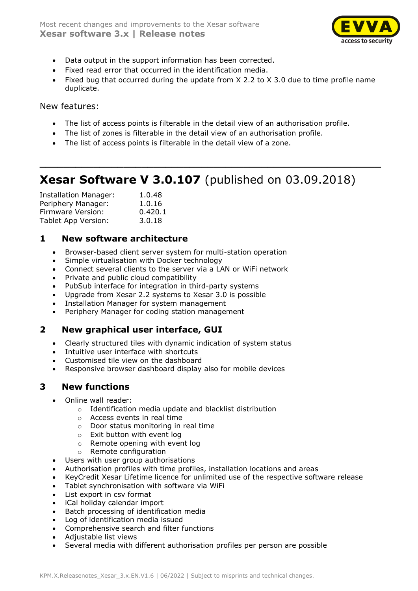

- Data output in the support information has been corrected.
- Fixed read error that occurred in the identification media.
- Fixed bug that occurred during the update from X 2.2 to X 3.0 due to time profile name duplicate.

### New features:

- The list of access points is filterable in the detail view of an authorisation profile.
- The list of zones is filterable in the detail view of an authorisation profile.
- The list of access points is filterable in the detail view of a zone.

## **Xesar Software V 3.0.107** (published on 03.09.2018)

**\_\_\_\_\_\_\_\_\_\_\_\_\_\_\_\_\_\_\_\_\_\_\_\_\_\_\_\_\_\_\_\_\_\_\_\_\_\_\_\_\_\_\_\_\_\_\_\_\_\_\_\_\_\_\_\_\_**

| <b>Installation Manager:</b> | 1.0.48  |
|------------------------------|---------|
| Periphery Manager:           | 1.0.16  |
| Firmware Version:            | 0.420.1 |
| Tablet App Version:          | 3.0.18  |

### **1 New software architecture**

- Browser-based client server system for multi-station operation
- Simple virtualisation with Docker technology
- Connect several clients to the server via a LAN or WiFi network
- Private and public cloud compatibility
- PubSub interface for integration in third-party systems
- Upgrade from Xesar 2.2 systems to Xesar 3.0 is possible
- Installation Manager for system management
- Periphery Manager for coding station management

### **2 New graphical user interface, GUI**

- Clearly structured tiles with dynamic indication of system status
- Intuitive user interface with shortcuts
- Customised tile view on the dashboard
- Responsive browser dashboard display also for mobile devices

### **3 New functions**

- Online wall reader:
	- o Identification media update and blacklist distribution
	- o Access events in real time
	- o Door status monitoring in real time
	- o Exit button with event log
	- o Remote opening with event log
	- o Remote configuration
- Users with user group authorisations
- Authorisation profiles with time profiles, installation locations and areas
- KeyCredit Xesar Lifetime licence for unlimited use of the respective software release
- Tablet synchronisation with software via WiFi
- List export in csv format
- iCal holiday calendar import
- Batch processing of identification media
- Log of identification media issued
- Comprehensive search and filter functions
- Adjustable list views
- Several media with different authorisation profiles per person are possible